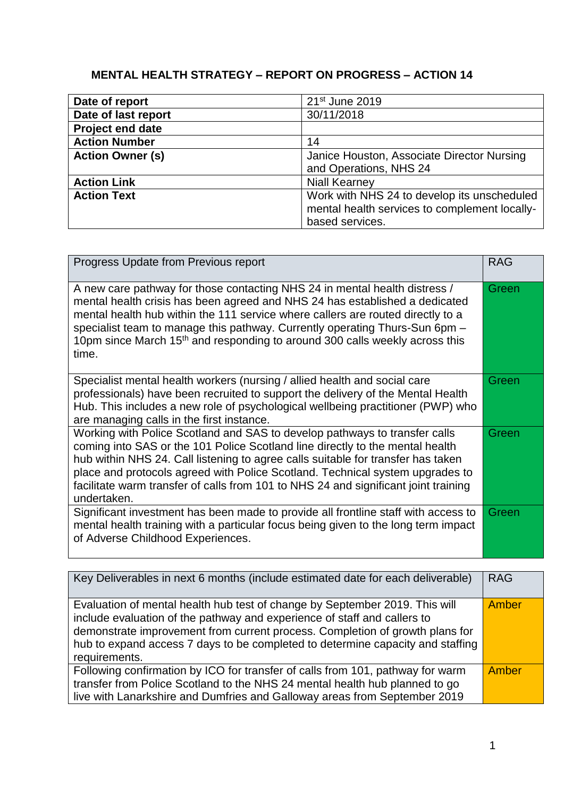## **MENTAL HEALTH STRATEGY – REPORT ON PROGRESS – ACTION 14**

| Date of report          | 21 <sup>st</sup> June 2019                                                                                      |
|-------------------------|-----------------------------------------------------------------------------------------------------------------|
| Date of last report     | 30/11/2018                                                                                                      |
| <b>Project end date</b> |                                                                                                                 |
| <b>Action Number</b>    | 14                                                                                                              |
| <b>Action Owner (s)</b> | Janice Houston, Associate Director Nursing<br>and Operations, NHS 24                                            |
| <b>Action Link</b>      | <b>Niall Kearney</b>                                                                                            |
| <b>Action Text</b>      | Work with NHS 24 to develop its unscheduled<br>mental health services to complement locally-<br>based services. |

| Progress Update from Previous report                                                                                                                                                                                                                                                                                                                                                                                                   | <b>RAG</b> |
|----------------------------------------------------------------------------------------------------------------------------------------------------------------------------------------------------------------------------------------------------------------------------------------------------------------------------------------------------------------------------------------------------------------------------------------|------------|
| A new care pathway for those contacting NHS 24 in mental health distress /<br>mental health crisis has been agreed and NHS 24 has established a dedicated<br>mental health hub within the 111 service where callers are routed directly to a<br>specialist team to manage this pathway. Currently operating Thurs-Sun 6pm -<br>10pm since March 15 <sup>th</sup> and responding to around 300 calls weekly across this<br>time.        | Green      |
| Specialist mental health workers (nursing / allied health and social care<br>professionals) have been recruited to support the delivery of the Mental Health<br>Hub. This includes a new role of psychological wellbeing practitioner (PWP) who<br>are managing calls in the first instance.                                                                                                                                           | Green      |
| Working with Police Scotland and SAS to develop pathways to transfer calls<br>coming into SAS or the 101 Police Scotland line directly to the mental health<br>hub within NHS 24. Call listening to agree calls suitable for transfer has taken<br>place and protocols agreed with Police Scotland. Technical system upgrades to<br>facilitate warm transfer of calls from 101 to NHS 24 and significant joint training<br>undertaken. |            |
| Significant investment has been made to provide all frontline staff with access to<br>mental health training with a particular focus being given to the long term impact<br>of Adverse Childhood Experiences.                                                                                                                                                                                                                          | Green      |

| Key Deliverables in next 6 months (include estimated date for each deliverable)                                                                                                                                                                                                                                                            | <b>RAG</b> |
|--------------------------------------------------------------------------------------------------------------------------------------------------------------------------------------------------------------------------------------------------------------------------------------------------------------------------------------------|------------|
| Evaluation of mental health hub test of change by September 2019. This will<br>include evaluation of the pathway and experience of staff and callers to<br>demonstrate improvement from current process. Completion of growth plans for<br>hub to expand access 7 days to be completed to determine capacity and staffing<br>requirements. |            |
| Following confirmation by ICO for transfer of calls from 101, pathway for warm<br>transfer from Police Scotland to the NHS 24 mental health hub planned to go<br>live with Lanarkshire and Dumfries and Galloway areas from September 2019                                                                                                 | Amber      |